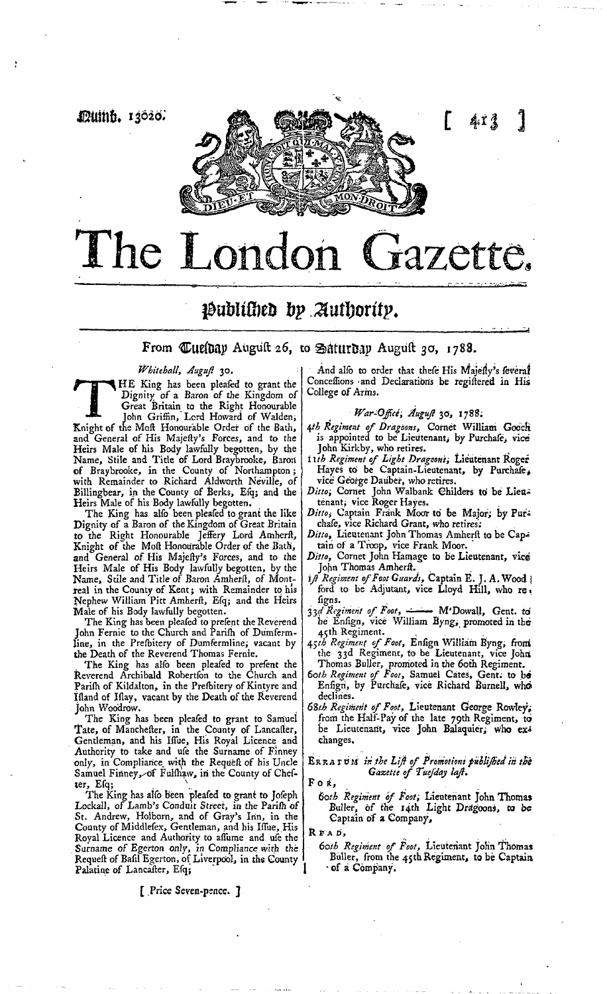

## i&ubitsi)e& &p *Minority.*

From  $\mathbb{C}$ ue (bay August 26, to Satur bay August 30, 1788.

Whitehall, August<sup>2</sup> 30.

Whitehall, Auguft 30.<br>
HE King has been pleafed to grant the<br>
Dignity of a Baron of the Kingdom of<br>
Great Britain to the Right Honourable<br>
John Griffin, Lord Howard of Walden,<br>
Knight of the Moft Honourable Order of the Ba HE King has been pleafed to grant the Dignity of a Baron of the Kingdom of Great Britain to the Right Honourable John Griffin, Lord Howard of Walden, and General of His Majefly's Forces, and to the Heirs Male of his Body lawfully begotten, by the Name, Stile and Title of Lord Braybrooke, Barori of Braybrooke, in the County of Northampton; with Remainder to Richard Aldworth Neville, of Billingbear, in the County of Berks, Esq; and the Heirs Male of his Body lawfully begotten.

The King has alfo been pleafed to grant the like Dignity of a Baron of the Kingdom of Great Britain to the Right Honourable Jeffery Lord Amherft, Knight of the Moft Honourable Order of the Bath, and General of His Majefly's Forces, and to the Heirs Male of His Body lawfully begotten, by the Name, Stile and Title of Baron Amherft, of Montreal in the County of Kent; with Remainder to his Nephew William Pitt Amherft, Esq; and the Heirs Male of his Body lawfully begotten.

The King has been pleafed to prefent the Reverend John Fernie to the Church and Parifh of Dumfermline, in the Prefbitery of Dumfermline; vacant by the Death of the Reverend Thomas Fernie.

The King has alfo been pleafed to prefent the Reverend Archibald Robertson to the Church and Pariih of Kildalton, in the Prefbitery of Kintyre and Ifland of Iflay, vacant by the Death of the Reverend John Woodrow.

The King has been pleafed to grant to Samuel Tate, of Manchefter, in the County of Lancafter, Gentleman, and his Iffue, His Royal Licence and Authority to take and ufe the Surname of Finney only, in Compliance with the Request of his Uncle Samuel Finney, of Fulfhaw, in the County of Chefter, Efq;  $\qquad \qquad \blacksquare$ 

The King has also been pleased to grant to Joseph Lockall, of Lamb's Conduit Street, in the Parifh of St. Andrew, Holborn, and of Gray's Inn, in. the County of Middlefex, Gentleman, and his Iffue, His Royal Licence and Authority to affume and ufe the Surname of Egerton only, in Compliance with the Request of Basil Egerton, of Liverpool, in the County Palatine of Lancaster, Efq;

[ Price Seven-pence, j

And also to order that these His Majesty's several Conceffions and Declarations be regiftered in His College of Arms.

*War-Office; August* 30, 178?;

- *t\tb Regiment of Dragoons,* Cornet William Gobcli is appointed to be Lieutenant, by Purchafe, vice John Kirkby, who retires.
- *iith Regiment ofi Light Dragoons;* Lieutenant Roger Hayes to be Captain-Lieutenant, by Purchafe, vice George Dauber, who retires.
- *Ditto;* Cornet John Walbank Childers to be Lieu= tenant; vice Roger Hayes.
- *Ditto*, Captain Frank Moor to be Major; by Purchafe, vice Richard Grant, who retires;
- Ditto, Lieutenant John Thomas Amherft to be Captain of a Troop, vice Frank Moor.
- *Ditfo,* Cornet John Harnage to be Lieutenant, vice John Thomas Amherft.
- $i$  Regiment of Foot Guards, Captain E. J. A. Wood ford to be Adjutant, vice Lloyd Hill, who re figns.
- *\$ld Regiment ofi Foot, '* M'Dowall, Gent, to be Enfign, vice William Byng, promoted in the 45th Regiment.
- 45;£ *Regiment ofi Foot,* Ensign William Byng, froni the 33d Regiment, to be Lieutenant, vice Johri Thomas Buller, promoted in the 60th Regiment.
- *Soth Regiment of Foot, Samuel Cates, Gent: to be* Enfign, by Purchafe, vice Richard Burnell, who declines.
- *6\$tb Regiment of Foot,* Lieutenant George Rowleys from the Half-Pay of the late 79th Regiment, to be Lieutenant, vice John Balaquier, who exchanges.

ER R *& T* tJ *iti in the List ofi Promotions publisted iti the Gazette of Tuesday last.* 

For,

## *60th Regiment bfi Poof,* Lieutenant John Thomas Buller, of the 14th Light Dragoons, to be Captain of a Company,

R E A D,

*6otk Regiment ofi Foot,* Lieutenant John Thomas Buller, from the 45th Regiment, to be Captain of a Company.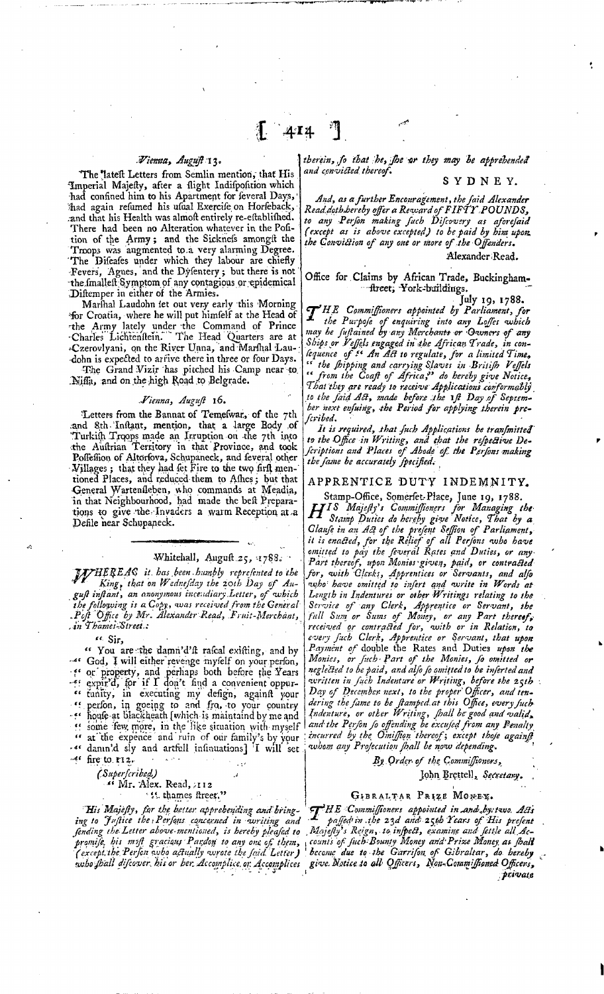## *.Wiemta, August 13.*

The lateft Letters from Semlin mention, that His Imperial Majefty, after a flight Indifposition which had confined him to his Apartment for feveral Days, thad again refumed his ufual Exercife on Horfeback, and that his Health was almoft entirely re-eftablifhed. There had been no Alteration whatever in the Pofition of the Army; and the Sickness amongit the Troops was augmented to,a very alarming Degree. The Difeafes under which they labour are chiefly •Fevers, Agues, and the Dysentery ; but there is not the fmalleft Symptom of any contagious or epidemical Diftemper in either of the Armies.

Marihal Laudohn tet out very early this Morning for Croatia, where he will put himfelf at the Head of •the Army lately under the Command of Prince -Charles Lichtenstein." The Head Quarters are at -Czerovlyani, qn the River Unna, and Marshal Laudohn is expected to arrive there in three or four Days.

The Grand Vizir has pitched his Camp near to. Njffa, and on the high Road to Belgrade.

### *Vienna, August* 16.

Letters from the Bannat of Temefwar, of the 7th .and Sth 'Instant, mention, that a large Body ,of Turkith Troops made an Irruption on the 7th into the Auftrian Territory in that Province, and took Poffeffion of Altorfova, Schupaneck, and feveral other Villages; that they had fet Fire to the two firft mentioned Places, and reduced them to Afhes; but that -General Wartenfleben, who commands at Meadia, in that Neighbourhood, had made the beft Preparations to give the : Invaders a warm Reception at a Defile near Schupaneck.

## Whitehall, August  $25, 4788.$

*TssfHE'REAG it. has .been, humbly represented to the*  King, that on Wednesday the zoth Day of Au*gust instant, an anonymous incendiary Letter, of vohich tke follovoing is a Copy, voas received from the General .Post Office by Mr. Alexander-Read, Fruit-Merchant, .in Thames-Street.:* 

*"*

<sup>66</sup> You are the damn'd'ft rafcal existing, and by *-\*'* God, I will either'revenge myself on your person, f s or' property, and perhaps both before the Years  $\cdot$ ff expir'd, for if I don't find a convenient oppur- $\epsilon$  tunity, in executing my defign, againft your<br> $\epsilon$  perfon, in goeing to and frq, to your country f foule at blackheath [which is maintaind by me and ff some 'few, more, in the li^e situation vvith-myself at the expence and ruin of our family's by your  $\cdot$ <sup>46</sup> danin'd sly and artfull infinuations] I will set  $-4$ <sup>c</sup> fire to  $r_1z$ .

*(Sttperscribe<£)*  <sup>56</sup> Mr. Alex. Read, 112 '*'* thames fireet."

His Majefty, for the better apprebending and bring*ing to Justice the* ? *Perfins concerned in voriting and fiending the-Letter above-mentioned, is hereby pleased to promise, his mist graciaus Pardon to any one of them, (except.the Perfon who actually wrote the faid Letter)* 

*tkerein, fo that 'he, she ar they may be apprehended and convicted thereof.* 

## SYDNEY.

*And, as a further Encouragement, tke said Alexander Read.dotbJoereby offer a Reward of FIFTY POUNDS.,*  to any Person making fuch Difcovery as aforesaid *(except as is above excepted) to be paid by him upon, the Conviction of any one or more of the Offenders.* 

Alexander Read.

Office for Claims by African Trade, Buckingham- -ftreet; York-buildings.

July 19, 1788.

*CT'HE Commiffioners appointed by Parliament, for the Purpose of enquiring into any Loffes vokieh may be sustained by any Merchants or Owners of any Ships or Veffels engaged in she Africa^ Trade, in consequence ofi* /« *An Act to regulate, for a limited Time, " the stipping and carrying SJaves i,n -Britist Veffels " firom tke Coast of Africa?\* do kereby give Notice, That they are ready to receive' Applications conformably to tke said Act, made before .the lst Day .of Septem*ber next enfuing, the Period for applying therein pre*scribed.* 

It is required, that fuch Applications be transmitted *to the Office in Writing, and that the respective De-scriptions and Places of Abode of. tloe Perfions making tke fame be accurately specified:* 

## APPRENTICE DUTY INDEMNITY.

Stamp-Office, Somerfet-Place, June 19, 1788. *fJfIS Majesty''s Commissioners fior Managing the Stamp Duties do hereby give Notice, That by a Claufie in an Act ofi the present Seffion ofi Parliament, it is enacted, for the Relief of all Perfons who have* omitted to pay the feveral Rates and Duties, or any-Part thereof, upon Monies given, paid, or contracted *for, viith Clerks, Apprentices or Servants, and also 'who' have emitted to insert qnd write in Words at Length in Indentures or other Writings relating to the Service ofi any Clerk, Apprentice or Servant, the full Sum or Sums ofi Money, or any Part thereafi, received or contracted fior, voith or in Relation, to every fiuch Clerk, Apprentice or Servant, that upon Payment ofi* double the Rates and Duties *upon tloe Monies, or Juch • Part ofi the Monies, fio omitted or neglected to be paid, and alfio fio omitted to be inserted and voritten in such Indenture or Writing, before the zeth Day of December- next, ta tke proper Officer, and tendering the fiame to be fiamped. at this Office, every fiucb-Indenture, or other Writing, fhall be good and valid. and tbe Person fio offending be excused from any Penalty incurred by the, O'miffiqn 'thereof; except those against*  whom any Prosecution shall be now depending.

> By Order of the Commissioners, John Brettell*x Secretary.* ,

## GIBRALTAR PRIZE MOMEY.

who fhall difcover, his or her. Accomplice, or. Accomplices exive. Notice to all Officers, Non-Commiffioned Officers,<br>private *CJ^HE Gontmiffioners appointed in^nd^byetwo. Acts*  passed in the 23d and 25th Years of His prefent . Majesty's Reign, to inspect, examine and settle all Ac-<sub>1</sub> counts of Juch: Bounty Money and Prize Money as Joalt 1 become due to the Garrifon of Gibraltar, do hereby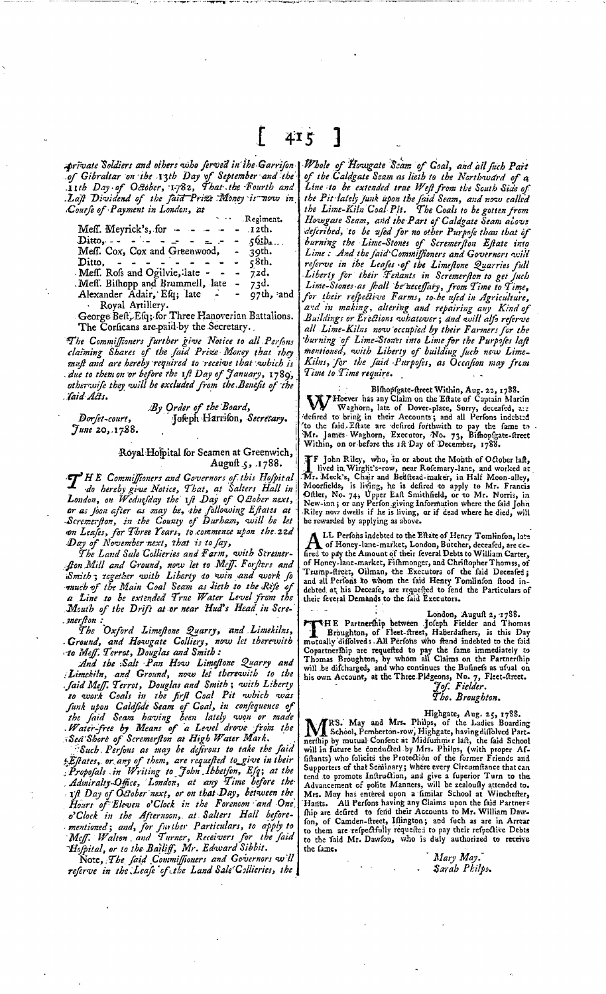415 1

private Soldiers and others who ferved in the Garrifon of Gibraltar on the 13th Day of September and the<br>11th Day of October, 1782, That the Fourth and<br>1. Lajt Dividend of the faid Prize Money is now in<br>Course of Payment in London, at

| .                                     | Regiment. |
|---------------------------------------|-----------|
| Meff. Meyrick's, for $   -$           | $.12th$ . |
| Ditto, $    -$<br>$\sim$ $\sim$       | $-56$ ib  |
| Meff. Cox, Cox and Greenwood, - 39th. |           |
| Ditto.                                | c8th.     |
| Meff. Rofs and Ogilvie, late -        | 72d.      |
| Meff. Bifhopp and Brummell, late      | 73d.      |
| Alexander Adair, Efq; late            | 97th, and |
| D <sub>ava</sub> t Autillant          |           |

George Beft, Efq; for Three Hanoverian Battalions. The Corficans are paid by the Secretary.

The Commiffioners further give Notice to all Perfons<br>claiming Shares of the faid Prize Money that they<br>muft and are hereby required to receive that which is<br>due to them on the fore the 1ft Day of January, 1789, other wife they will be excluded from the Benefit of the Jaid Acts.

By Order of the Board, Jofeph Harrifon, Secretary. Dorfet-court, June 20, 1788.

## Royal Hofpital for Seamen at Greenwich, Auguft 5, 1788.

T HE Commiffioners and Governors of this Hofpital<br>
do hereby give Notice, That, at Salters Hall in<br>
London, on Wednesday the 1ft Day of Q Bober next,<br>
or as foon after as may be, the following Eftates at<br>
Scremerfton, in t on Leases, for Three Years, to commence upon the 22d Day of November next, that is to fay,

The Land Sale Collieries and Farm, with Screinerfon Mill and Ground, now let to Meff. For fters and<br>Smith; together with Liberty to win and work for much of the Main Coal Seam as lieth to the Rife of a Line to be extended True Water Level from the<br>Mouth of the Drift at or near Hud's Head in Scre-

merfton:<br>The Oxford Limeftone Quarry, and Limekilns,<br>Cround, and Howgate Colliery, now let therewith<br>to Meff. Terrot, Douglas and Smith:

And the Salt Pan How Limestone Quarry and<br>Limekiln, and Ground, now let therewith to the<br>Jaid Meff. Terrot, Douglas and Smith; with Liberty. to work Coals in the first Coal Pit which was<br>funk upon Caldfide Seam of Coal, in confequence of<br>the faid Seam having been lately won or made<br>Water-free by Means of a Level drove from the<br>Sea Shore of Scremerfton at High W

Such Persons as may be defirous to take the faid Estates, or any of them, are requested to give in their Admiralty Office, London, at any Time before the<br>1ft Day of October next, or on that Day, between the Hours of Eleven o'Clock in the Forencon and One Process of Eleven a Clock in the Potention and Cone<br>of Clock in the Afternoon, at Salters Hall before-<br>mentioned; and, for further Particulars, to apply to<br>Motel, Walton and Turner, Receivers for the faid<br>Hofpital, or to t

referve in the Leafe of the Land Sale Collieries, the

Whole of Hougate Scam of Coal, and all fuch Part<br>of the Caldgate Scam as lieth to the Northward of a Line to be extended true Weft from the South Side of the Pit lately Junk upon the faid Seam, and now called<br>the Lime-Kiln Coal Pit. The Coals to be gotten from Howgate Seam, and the Part of Caldgate Seam alove deferibed, to be used for no other Purpose than that of<br>burning the Lime-Stones of Screenerston Estate into<br>Lime: And the faid Commissioners and Governors will referve in the Leafes of the Limestone Quarries full Liberty for their Tenants in Scremerston to get Juch Livers, y.<br>Lime-Stones as fhall be neceffary, from Time to Time,<br>for their respective Farms, to be used in Agriculture, and in making, altering and repairing any Kind of Buildings or Erections whatever; and will alfo referve all Lime-Kilns now occupied by their Farmers for the burning of Lime-Stones into Lime for the Purpofes laft<br>mentioned, with Liberty of building fuch new Lime-<br>Kilns, for the faid Purpofes, as Occafion may frem Time to Time require.

Bifhopfgate-freet Within, Aug. 22, 1788.<br>Weghorn, late of Dover-place, Surry, deceafed, are<br>defired to bring in their Accounts; and all Perfons indebted 'to the faid. Effate are defired forthwith to pay the fame to Mr. James Waghorn, Executor, No. 73, Bifhopfgate-ftreet<br>Within, on or before the 1ft Day of December, 1788.

**TF** John Riley, who, in or about the Month of October laft,<br>lived in Wirght's-row, near Rofemary-lane, and worked at<br> $M_{\rm T}$ . Meek's, Chair and Beilftead-maker, in Half Moon-alley,<br>Moorfields, is living, he is defired t be rewarded by applying as above.

LL Perfons indebted to the Eftate of Henry Tomlinfon, late A Le Perions mueves we there is experient, deceafed, are de-<br>fired to pay the Amount of their feveral Debts to William Carter, of Honey-lane-market, Fifhmonger, and Chriftopher Thomss, of Trump-freet, Oilman, the Executors of the faid Deceafed; and all Perfons to whom the faid Henry Tomlinfon flood indebted at his Deceafe, are requested to fend the Particulars of their feveral Demands to the faid Executors.

London, Auguft 2, 1788.<br>
Iondon, Auguft 2, 1788.<br>
Iondon, Auguft 2, 1788.<br>
Broughton, of Fleet-freet, Haberdafhers, is this Day<br>
motually diffolved: All Perfons who fixed indebted to the faid<br>
Copartnerfhip are requefted t

Highgate, Aug. and Mrs. Philps, of the Ladies Boarding<br>
Mrs. Highgate, Aug. 25, 1788.<br>
1998. School, Pemberton-row, Highgate, having diffolved Part-<br>
nerthip by mutual Confent at Midfurimer laft, the faid School<br>
will in f fon, of Camden-ftreet, Illington; and fuch as are in Arrear to them are refpectfully requested to pay their refpective Debts<br>to the faid Mr. Dawfon, who is duly authorized to receive the fame.

Mary May. Sarah Philps.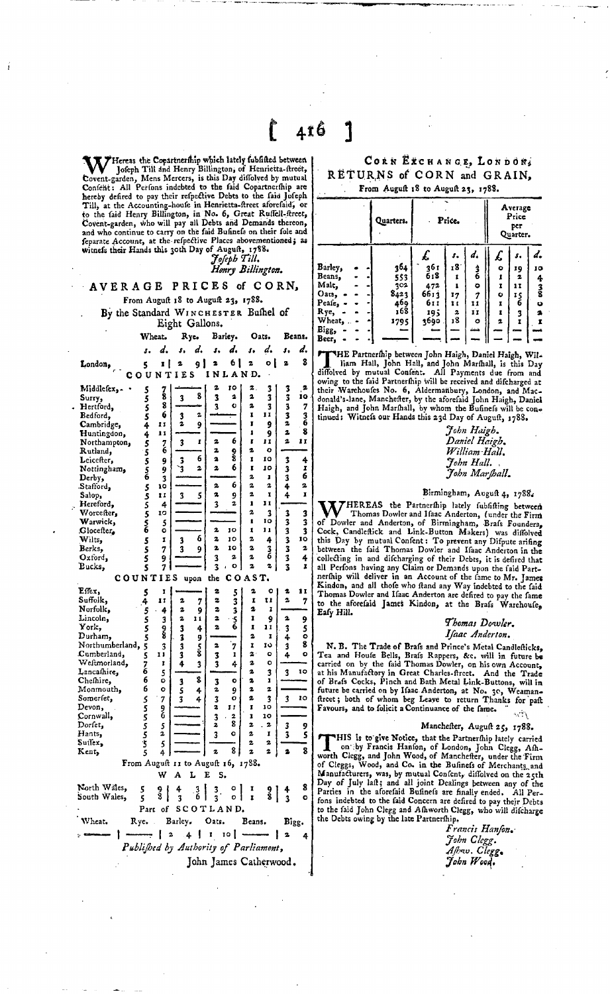Wieneas the Copartnership which lately fubfifted between<br>Joseph Till and Henry Billington, of Henrietta-ftreet,<br>Covent-garden, Mens Mercers, is this Day diffolved by mutual<br>Confent: All Perfons indebted to the faid Copartn to the faid Henry Billington, in No. 6, Great Ruffell-ftreet,<br>Covent-garden, who will pay all Debts and Demands thereon,<br>and who continue to carry on the faid Bufinefs on their fole and feparate Account, at the refpective Places abovementioned; as<br>witness their Hands this 30th Day of August, 1788.<br>*Joseph Till.* 

*Henry Billington.* 

AVERAGE PRICES of CORN, From Auguft 18 to Auguft 23, 1788.

London,

By the Standard WINCHESTER Bushel of Eight Gallons.

Wheat. Rye. Barley. Oats. Beans.

|  | s. d. s. d. s. d. s. d. s. d.  |  |  |  |  |
|--|--------------------------------|--|--|--|--|
|  | $5 \t12 \t912 \t612 \t012 \t3$ |  |  |  |  |
|  | COUNTIES INLAND.               |  |  |  |  |

| Middlefex,-                                            | 5           |                |                                   | 2<br>TÓ                      | 2.           | 3                       |                         | 2                       |
|--------------------------------------------------------|-------------|----------------|-----------------------------------|------------------------------|--------------|-------------------------|-------------------------|-------------------------|
| Surry,                                                 | š           | 78             | 8<br>$\overline{\mathbf{3}}$      | $\overline{\mathbf{3}}$<br>2 | 2            | $\overline{\mathbf{3}}$ | 3<br>3                  | 10                      |
| Hertford,                                              | 5           | Ŝ              |                                   | 3<br>Ō                       | 2            | 3                       | 3                       | 7                       |
| Bedford.                                               | Ŝ           | 6              | 2<br>3                            |                              | I            | IJ                      | 3                       |                         |
| Cambridge,                                             | 4           | 11             | 2<br>9                            |                              | Ī            | 9                       | 2                       | 3<br>6                  |
| Huntingdon,                                            | 4           | 11             |                                   |                              | ı            | 9                       | 2                       | 8                       |
| Northampton,                                           |             |                | I<br>3                            | 6<br>2                       | r            | n                       | 2                       | 11                      |
| Rutland,                                               | 5<br>5      | 7<br>6         |                                   | 2                            | ż            | $\bullet$               |                         |                         |
| Leicefter,                                             |             |                | 6<br>3                            | 9<br>8<br>2                  | Ï            | IO                      | 3                       | 4                       |
|                                                        |             | 9              | 3<br>2                            | 6<br>2                       | I            | 10                      | 3                       | I                       |
| Nottingham,<br>Derby,                                  | 5<br>5<br>6 | 9              |                                   |                              | 2            | ı                       | 3                       | 6                       |
|                                                        |             | 3<br>10        |                                   | 6<br>2                       | 2            | 2                       | 4                       | 2                       |
| Stafford,                                              | 55556       | Ħ              |                                   | 2                            | 2            | ĭ                       | 4                       | r                       |
| Salop,                                                 |             |                | 3<br>5                            | 9<br>2                       | ı            | Ħ                       |                         |                         |
| Hereford,                                              |             | 4              |                                   | $\overline{\mathbf{3}}$      |              |                         |                         |                         |
| Worcefter,                                             |             | 10             |                                   |                              | 2            | 3                       | $\overline{\mathbf{3}}$ | 3                       |
| Warwick,                                               |             | $\frac{5}{9}$  |                                   |                              | ı            | 10                      | 3                       | 3                       |
| Glocefter,                                             |             |                | 6                                 | 2<br>10                      | Ĩ.           | 11                      | $\frac{3}{3}$           | $\overline{\mathbf{3}}$ |
| Wilts,                                                 | 5           | I              | 3                                 | 2<br>10                      | 2            | 4                       |                         | 10                      |
| Berks.                                                 | Š           | 7              | 3<br>9                            | 2<br>10                      | 2            | 3                       | 3                       | $\mathbf{z}$            |
| Oxford,                                                | Ś           | 9              |                                   | 3<br>2                       | 2            | 6                       | 3                       | 4                       |
| Bucks,                                                 | S           | 7              |                                   | $\bullet$<br>3               | 2            | 2                       | $\overline{\mathbf{3}}$ | I                       |
| COUNT                                                  |             | IES            | upon                              | Ċ<br>the                     | OAST.        |                         |                         |                         |
| Effex,                                                 | 5           | I              |                                   | 2<br>5                       | 2            | o                       | 2                       | 11                      |
| Suffolk,                                               | 4           | Ħ              | 2<br>7                            | 2<br>3                       | I            | t i                     | 2                       | 7                       |
| Norfolk.                                               |             | 4              | 2<br>9                            | 2<br>3                       | 2            | ī                       |                         |                         |
| Lincoln,                                               | 5<br>5      |                | 2<br>11                           | 2                            | 1            | 9                       | 2                       |                         |
| York,                                                  | š           | 3              |                                   | $\frac{5}{6}$<br>2           | Ī            | 11                      |                         | 9                       |
| Durham.                                                |             | ş              | 3<br>4                            |                              | 2            | I                       | 3                       | $\frac{5}{2}$           |
| Northumberland,                                        | 5           |                | 3<br>9                            | 7<br>2                       | r            | 10                      | 4                       | 8                       |
| Cumberland,                                            | 5           | 3<br>1 i       | 3<br>$\frac{5}{8}$                |                              | $\mathbf{z}$ | o                       | 3                       | Ō                       |
|                                                        | 5           |                | 3                                 | ı<br>3                       | 2            |                         | 4                       |                         |
| Weftmorland,                                           | 7<br>6      | Ţ              | 4<br>3                            | $\overline{\mathbf{3}}$<br>4 |              | o                       |                         |                         |
| Lancathire,                                            | 6           | 5              | 8                                 |                              | 2            | 3                       | 3                       | 10                      |
| Chefhire,                                              | 6           | Ó              | 3                                 | 3<br>o                       | 2            | ı                       |                         |                         |
| Monmouth,                                              |             | o              | š<br>4                            | 2<br>9                       | 2            | 2                       |                         |                         |
| Somerfet,                                              |             | 7              | 3<br>4                            | 3<br>o                       | 2            | 3                       | 3                       | 10                      |
| Devon,                                                 |             | 9<br>6         |                                   | 2<br>ĪÏ                      | Ĩ            | 10                      |                         |                         |
| Cornwall,                                              |             |                |                                   | 3<br>2                       | ı            | 10                      |                         |                         |
| Dorfet,                                                |             | 5              |                                   | 8<br>2                       | 2            | 2                       | 3                       | 9                       |
| Hants,                                                 |             | 2              |                                   | $\overline{\mathbf{3}}$<br>o | 2            | Ĩ                       | 3                       | 5                       |
| Suffex.                                                | 555555      | 5              |                                   |                              | 2            | 2                       |                         |                         |
| Kent,                                                  |             | 4              |                                   | 8<br>2                       | 2            | 2                       | 2                       | 8                       |
|                                                        |             |                |                                   |                              | 1788.        |                         |                         |                         |
| From August 11 to August 16,<br>w<br>A<br>L<br>E<br>s. |             |                |                                   |                              |              |                         |                         |                         |
| North Wales.                                           | 5           |                |                                   | ۰                            | I            |                         |                         | 8                       |
| South Wales,                                           | š           | 9<br>8         | 3<br>6<br>$\overline{\mathbf{3}}$ | 3<br>3<br>ō                  | Ī            | 9<br>Տ                  | $\frac{1}{3}$           | $\circ$                 |
|                                                        | Part        | ۵f             |                                   | SCOTLAND.                    |              |                         |                         |                         |
|                                                        |             |                |                                   |                              |              |                         |                         |                         |
| Wheat.                                                 | Rye.        |                | Barley.                           | Oats.                        | Beans.       |                         | Bigg.                   |                         |
|                                                        |             | $\overline{a}$ | ı<br>4                            | 10 I<br>I                    |              |                         | 2                       | 4                       |
| Published by Authority of Parliament,                  |             |                |                                   |                              |              |                         |                         |                         |

John James Catherwood.

**•** 

## CORN EXCHANGE, LONDON, RETURNS of CORN and GRAIN, From August 18 to August 23, 1788.

Quarters. Price. Average Price per

|          |  |      |      |     |        | her.<br>Quarter. |    |               |  |
|----------|--|------|------|-----|--------|------------------|----|---------------|--|
|          |  |      |      |     |        | x.               |    | d.            |  |
| Barley,  |  | 364  | 36 t | 18  |        | ۰                | 19 | 10            |  |
| Beans,   |  | 553  | 618  |     | 3<br>6 | 1                | 2  | 4             |  |
| Malt,    |  | 202  | 472  |     | ۰      | I                | 11 |               |  |
| Oats,    |  | 8423 | 6613 | 17  | İ      | ۰                | 15 | $\frac{3}{8}$ |  |
| Peafe, . |  | 469  | 611  | 1 t | 11     | I                | 6  | O             |  |
| Rye,     |  | 168  | 195  | 2   | Ħ      |                  | 3  | 2             |  |
| Wheat,   |  | 1795 | 3690 | 18  | ۰      | 2                | Ï  | I             |  |
| Bigg,    |  | --   |      |     |        |                  |    |               |  |
| Beer,    |  |      |      |     |        |                  |    |               |  |

Beer, - - -<br>THE Partr<br>diffolved by m THE Partnerfhip between John Haigh, Daniel Haigh, Will-<br>diffiolved by mutual Confent. All Paly mental, is this Day<br>oving to the faid Partnerfhip will be received and difcharged at<br>their Warehoufes No. 6, Aldermanbury, Lond

> *John Haigh. Daniel Haigh. William-Hall. John Hall.* ,  $\tilde{J}$ ohn Marshal**l.**

## Birmingham, August 4, 1788.

WHEREAS the Partnerfilp lately fully fully filly the Base of Dowler and Hand Harderfilp lately fully filly fully fully fully fully fully fully fully fully fully concered Cock, Candleflick and Link-Button Makers) was diffol

*Thomas Dowler. Isaac Anderton.* 

N. B. The Trade of Brafs and Prince's Metal Candlefticks, Tea and Houfe Bells, Brafs Rappers, &c. will in future be<br>carried on by the faid Thomas Dowler, on his own Account,<br>at his Manufactory in Great Charles-fireet. And the Trade<br>of Brafs Cocks, Pinch and Bath Metal Link-Button Favours, and to folicit a Continuance of the fame.

## Manchefter, Auguft 25, 1788.

FIIS is to give Notice, that the Partnerfhip lately carried<br>on by Francis Hanfon, of London, John Clegg, Afh-<br>worth Clegg, and John Wood, of Manchefter, under the Firm<br>of Cleggs, Wood, and Co. in the Bufiness of Merchants,

*Francis Hanson.- John Clegg. Astw. Cleggt JobnWood',*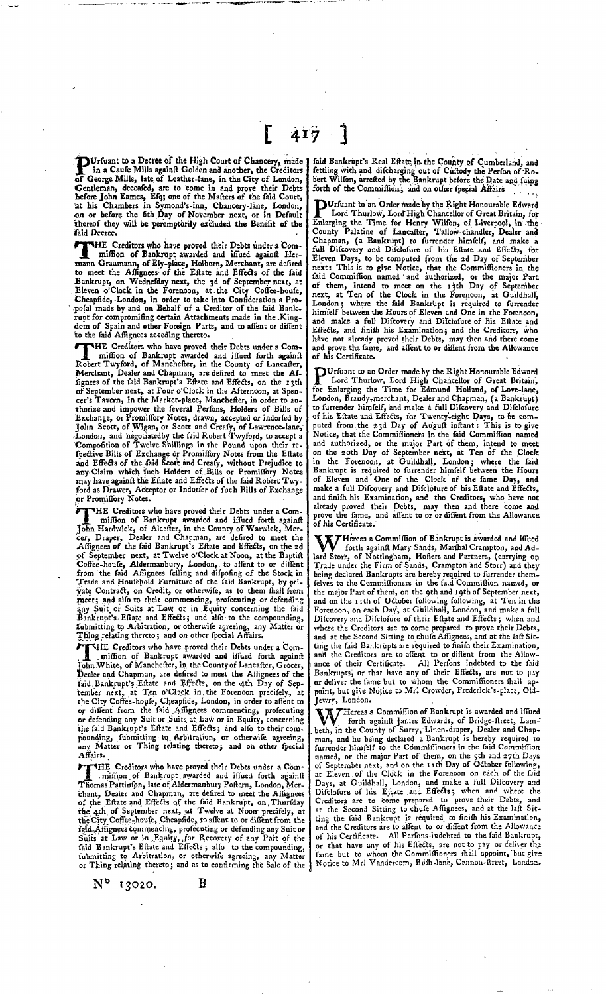**PUrfuant to a Decree of the High Court of Chancery, made in a Caufe Mills againt Golden and another, the Creditors of George Mills, late of Leather-lane, in the City of London.** of George Mills, late of Leather-lane, in the City of London,<br>Gentleman, deceafed, are to come in and prove their Debts<br>hefore John Eames, Efq; one of the Mafters of the faid Court,<br>at his Chambers in Symond's-inn, Chancer thereof they will be peremptorily excluded the Benefit of the

**[ 4-T7 3** 

Faid Decree.<br>
THE Creditors who have proved their Debts under a Com-<br>
IHE Creditors who have proved their Debts under a Com-<br>
Then Graumann, of Ely-place, Holborn, Merchant, are defired<br>
to meet the Affignees of the Eftate HE Creditors who have proved their Debts under a Comdom of Spain and other Foreign Parts, and to affent or diffent<br>to the faid Affignees acceding thereto.

faid Decree.

to the faid Affignees acceding thereto.<br>
THE Creditors who have proved their Debts under a Com-<br>
miffion of Bankrupt awarded and iffued forth againft<br>
Robert Twyford, of Manchefter, in the County of Lancafter, HE Creditors who have proved their Debts under a Com-<br>miffion of Bankrupt awarded and iffued forth againft Merchant, Dealer and Chapman, are defired to meet the Af-<br>fignees of the faid Bankrupt's Eftate and Effects, on the 13th of September next, at Four o'Clock in the Afternoon, at Spencer's Tavern, in the Market-place, Manchefter, in order to authorize and impower the feveral Perfons, Holders of Bills of Exchange, or Promiflory Notes, drawn, accepted or indorfed by John Scott, of Wigan, or Scott and Cre ford as Drawer, Acceptor or Indorfer of fuch Bills of Exchange or Promiffory Notes.

or Pre THE Creditors who have proved their Debts under a Commiffion of Bankrupt awarded and iffued forth againf<br>
John Hardwick, of Alcefter, in the County of Warwick, Mer-<br>
cer, Draper, Dealer and Chapman, are defired to meet the meet; and alfo to their commencing, profecuting or defending<br>any Suit or Suits at Law or in Equity concerning the faid<br>Bankrupt's Efface and Effects; and alfo to the compounding,<br>fubmitting to Arbitration, or otherwife agr

Thing<br>Tohn THE Creditors who have proved their Debts under a Com-<br>
imiffion of Bankrupt wavarded and iffued forth againft<br>
John White, of Manchefter, in the County of Lancafter, Grocer,<br>
Dealer and Chapman, are defired to meet the Af the faid Bankrupt's Eftate and Effects; and also to their compounding, fubmitting to Arbitration, or otherwife agreeing,<br>any Matter or Thing relating thereto; and on other fpecial Affairs.

Aftairs.<br>
The Creditors who have proved their Debts under a Com-<br>
Inflion of Bankrupt awarded and iffued forth againft<br>
Thomas Pattinfon, late of Aldermanbury Poftern, London, Mer-<br>
chanc, Dealer and Chapman, are defired t THE Creditors who have proved their Debts under a Com-Suits at Law or in Equity, for Recovery of any Part of the<br>faid Bankrupt's Eftate and Effects; allo to the compounding,<br>fubmitting to Arbitration, or otherwise agrecing, any Matter<br>or Thing relating thereto: and as to con

 $N^{\circ}$  13020. B

faid Bankrupt's Real Eftate in the County of Cumberland, and<br>fettling with and difcharging out of Cuftody the Perfon of Ro-<br>bert Wilfon, arrefted by the Bankrupt before the Date and fuing<br>forth of the Commiffion; and on ot

DUrfuant to an Order made by the Right Honourable Edward<br>Lord Thurlow, Lord High Chancellor of Great Britain, for<br>Enlarging the Time for Henry Wilfon, of Liverpool, in the<br>County Palatine of Lancafter, Tallow-chandler, Dea have not already proved their Debts, may then and there come and prove the fame, and affent to or diffent from the Allowance of his Certificate.

DUrfuant to an Order made by the Right Honourable Edward<br>Lord Thurlow, Lord High Chancellor of Great Britain,<br>for Enlarging the Time for Edmund Holland, of Love-lane, Urfuant to an Order made by the Right Honourable Edward London, Brandy-merchant, Dealer and Chapman, (a Bankrupt)<br>to furrender himfelf, and make a full Difcovery and Difclofure<br>of his Eftate and Effects, for Twenty-eight Days, to be com-<br>puted from the 23d Day of Auguf inftant and authorized, or the major Part of them, intend to meet<br>on the 20th Day of September next, at Ten of the Clock<br>in the Forenoon, at Guildhall, London; where the faid<br>Bankrupt is required to furrender himfelf between the H and finish his Examination, and the Creditors, who have not already proved their Debts, may then and there come and prove the fame, and assent to or or diffent from the Allowance of his Certificate.

Hereas a Commiffion of Bankrupt is awarded and iffued<br>forth againft Mary Sands, Marthal Crampton, and Adlard Storr, of Nottingham, Hofiers and Partners, (carrying on Trade under the Firm of Sands, Crampton and Storr) and they being declared Bankrupts are hereby required to furrender them-<br>eling declared Bankrupts are hereby the major Part of them, on the 9th and 19th of September next,<br>and on the 11th of October following following, at Ten in the<br>Forenoon, on each Day, at Guildhall, London, and make a full Difcovery and Difclosure of their Eftate and Effects; when and where the Creditors are to come prepared to prove their Debts,<br>and at the Second Sitting to chufe Affignees, and at the laft Sitting the faid Bankrupts are required to finish their Examination, and the Creditors are to affent to or diffent from the Allow-<br>ance of their Certificate. All Perfons indebted to the faid<br>Bankrupts, or that have any of their Effects, are not to pay or deliver the fame but to whom the Commissioners shall appoint, but give Notice to Mr. Crowder, Frederick's-place, Old-

Hereas a Commiffion of Bankrupt is awarded and iffued forth against section of Bankrupt is awarded and iffued-<br>Corth against James Baunary of David and iffued beth, in the County of Surry, Linen-draper, Dealer and Chap-<br>man, and he being declared a Bankrupt is hereby required to<br>furred furned for the major Part of them, on the stind Commiffion<br>named, or the major Part of them, o ting the Gid Bankrupt is required to finish his Examination, and the Creditors are to affent to or diffent from the Allowance of his Certificate. All Perfons-indebted to the faid Bankrupt, or that have any of his Effects, are not to pay or deliver the<br>fame but to whom the Commissioners shall appoint, but give<br>Notice to Mri Vandercom, Bush-lane, Cannon-street, London.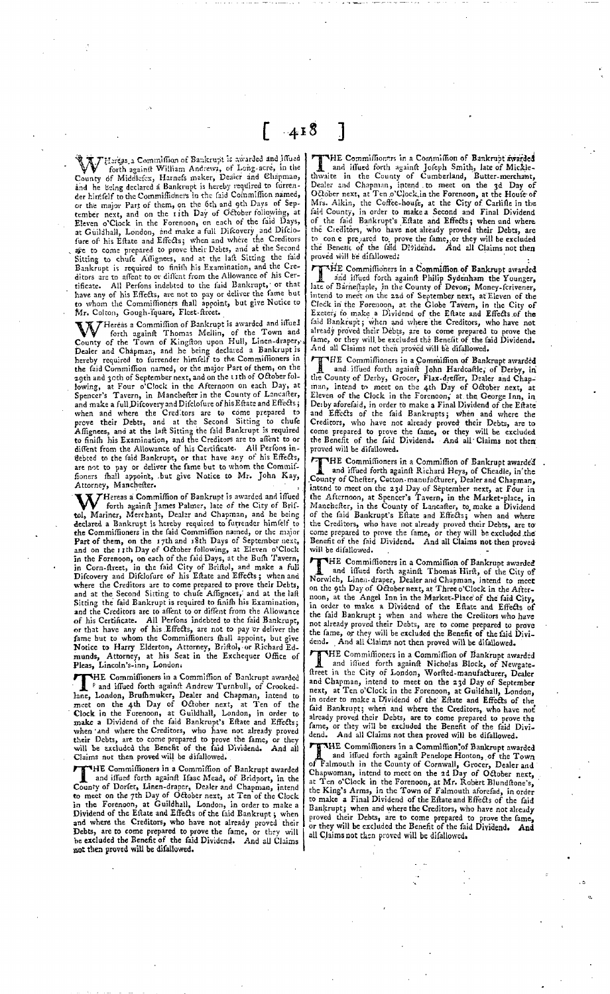**KRT** Hereas,a Commission of Bankrupt is awarded and illued<br>County of Middlesex, Harness maker, Dealer and Chapman,<br>County of Middlesex, Harness maker, Dealer and Chapman, Lounty or mindicipers, radius message is hereby required to furten-<br>and he being declared a Bankrupt is hereby required to furten-<br>der hinffelf to the Commiffioners in the faid Commiffion named, der himfelf to the Commiffioners in the faid Commiffion named,<br>or the major Part of them, on the 6th and gth Days of Sep-<br>tember next, and on the rith Day of October following, at<br>Eleven o'Clock in the Forenoon, on each of

Hereas a Commission of Bankrupt is awarded and issued WY forth againft Thomas Mellin, of the Town and County of the Town of Kingfton upon Hull, Linen-draper,<br>Dealer and Chapman, and he being declared a Bankrupt is<br>hereby required to furrender himfelf to the Commiffioners in<br>t 29th and 30th of September next, and on the 1 ith of October following, at Four o'Clock in the Afternoon on each Day, at<br>Spencer's Tavern, in Manchefter in the County of Lancafter, and make a full Difcovery and Difclofure of his Effate and Effects;<br>when and where the Creditors are to come prepared to<br>prove their Debts, and at the Second Sitting to clude<br>Affignees, and at the laft Sitting the faild Ba Attorney, Manchester.

MHereas a Commission of Bankrupt is awarded and iffued<br>MHereas a Commission Palmer, late of the City of Bris-<br>forth against James Palmer, and Chapman, and he being tol, Mariner, Merchant, Dealer and Chapman, and be being<br>declared a Bankrupt is hereby required to furtender himfelf to<br>feat Commiffioners in the faid Commiffion named, or the major<br>Part of them, on the 17th and 18th Days of his Certificate. All Perfons indebted to the faid Bankrupt,<br>or that have any of his Effects, are not to pay or deliver the<br>fame but to whom the Commiffioners fhall appoint, but give<br>Notice to Harry Elderton, Attorney, B munds, Attorney, at his Ses.<br>Pleas, Lincoln's-inn, London.

Pleas, Lincoln's-inn, London.<br>
THE Commiffionnes in a Commiffion of Bankrupt awarded<br>
In Fand iffudd forth againft Andrew Turnbull, of Crooked-<br>
lane, London, Brufhmuker, Dealer and Chapman, intend to<br>
meet on the 4th Day HE Commiffioners in a Commiffion of Bankrupt awarded <sup>F</sup> and iffued forth against Andrew Turnbull, of Crooked-

The Commission of Bankrupt awarded<br>
The Commission and Commission of Bankrupt awarded<br>
and iffued forth againfi Haac Mead, of Bridport, in the<br>
county of Dorfer, Linen-draper, Dealer and Chapman, intend<br>
to meet on the 7th HE Commiffioners in a Commiffion of Bankrupt awarded

THE Commiffioners in a Commiffion of Bankrupt awarded<br>and iffued forth againft Jofeph Smith, late of Mickle-<br>thwaite in the County of Cumberland, Butter-merchant,<br>Dealer and Chapman, intend to meet on the 3d Day of<br>October HE Commiffionars in a Commission of Bankrupt-awarded

Fig. Committion of Bankrupt awarded<br>
I and iffued forth againft Philip Sydenham the Younger,<br>
late of Barneftaple, in the County of Devon; Money-fcrivener,<br>
late of Barneftaple, in the County of Devon; Money-fcrivener,<br>
li  $\nabla H$ E Commiffichers in a Commiffion of Bankrupt awarded already proved their Debts, are to come prepared to prove the<br>fame, or they will be excluded the Benefit of the faid Dividend. fame, or they will be excluded the Benefit of the fa<br>And all Claims not then proved will be difallowed.

The Commission the main of the unanoved.<br>
The Commission of Bankrupt awarded<br>
and iffued forth against John Hardcaftle, of Derby, in<br>
the County of Derby, Grocer, Flax-drefler, Dealer and Chap-<br>
man, intend to meet on the THE Commiffioners in a Commiffion of Bankrupt awarded Creditors, who have not already proved their Debts, are to come prepared to prove the fame, or they will be excluded the Benefit of the said Dividend. And all'Claims not then proved will be difallowed.

For the Gamillioners in a Commiffion of Bankrupt awarded<br>THE Commiffioners in a Commiffion of Bankrupt awarded<br>and iffued forth againft Richard Heys, of Cheadle, in'the<br>county of Chefter, Cetton-manufacturer, Dealer and Ch HE Commissioners in a Commission of Bankrupt awarde'd

Will be dilatowed.<br> **Example 19** and diffused forth against Thomas Hirft, of the City of<br>
Hard and diffused forth against Thomas Hirft, of the City of<br>
Norwich, Linen-draper, Dealer and Chapman, intend to meet<br>
on the ghal HE Commissioners in a Commission of Bankrupt awarded

THE Commission then proved with be analowed.<br>THE Commission and interest in a Commission of Bankrupt awarded<br>freet in the City of London, Worsted-manufacturer, Dealer HE Commissioners in a Commission of Bankrupt awarded and Chapman, intend to meet on the 23d Day of September next, at Ten o'Clock in the Forenoon, at Guildhall, London, in order to make a Dividend of the Estate and Effects of the faid Bankrupt; when and where the Creditors, who have not<br>already proved their Debts, are to come prepared to prove the<br>fame, or they will be excluded the Benefit of the faid Divi-<br>dend. And all Claims not then proved will

Table Committeen proved will be diallowed.<br>Table Committeen and Committeen and if and iffused forch against Penelope Hoton, of the Town<br>of Falmouth in the County of Cornwall, Grocer, Dealer and<br>Chapwoman, intend to meet on THE Commissioners in a Commission of Bankrupt awarded Bankrupt; when and where the Creditors, who have not already proved their Debts, are to come prepared to prove the fame, or they will be excluded the Benefit of the said Dividend. And all Claims not then proved will be difallowed.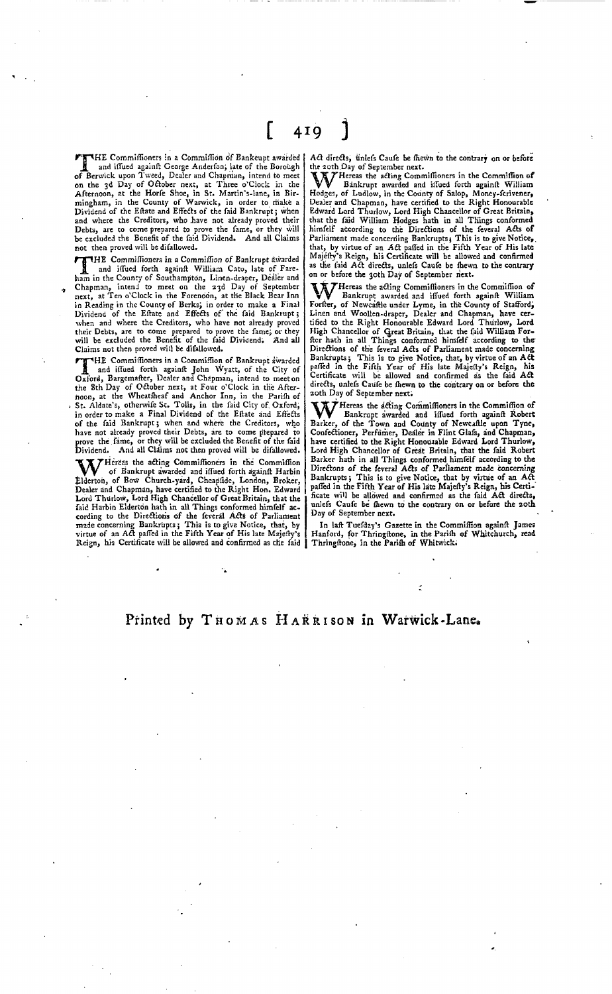FIFHE Commissioners in a Commission of Bankeupt awarded **A** and iffued againft George Anderfon, late of the Borough<br>of Berwick upon Tweed, Dealer and Chapman, intend to meet<br>on the 3d Day of October next, at There o'Clock in the<br>Afternoon, at the Horfe Shoe, in St. Martin's-lan and where the Creditors, who have not already proved their Debts, are to come prepared to prove the fame, or they will be excluded the Benefit of the said Dividend. And all Claims not then proved will be difallowed.

THE Committioners in a Committion of Bankrupt awarded<br>and iffued forth againft William Cato, late of Fare-<br>ham in the County of Southampton, Linen-draper, Dealer and THE Commiffioners in a Commiffion of Bankrupt awarded and iffued forth againft William Cato, late of Fare-Chapman, intend to meet on the 23d Day of September<br>next, at Ten o'Clock in the Forenoon, at the Black Bear Inn<br>in Reading in the County of Berks; in order to make a Final<br>Dividend of the Effate and Effects of the faid Ban their Debts, are to come prepared to prove the fame; or they will be excluded the Benefit of the faid Dividend; And all Claims not then proved will be difallowed.

THE Commissioners in a Commission of Bankrupt awarded<br> **T**<br> **A** and iffued forth against John Wyatt, of the City of<br>
Oxford, Bargemafter, Dealer and Chapman, intend to meet on Oxford, Bargemafter, Dealer and Chapman, intend to meet on the 8th Day of October next, at Four o'Clock in the After-<br>noon, at the Wheatheaf and Anchor Inn, in the Parifi of<br>St. Aldate's, otherwife St. Tolls, in the faid City of Oxford,<br>in order to make a Final Dividend of the Eft of the faid Bankrupt; when and where the Creditors, who have not already proved their Debts, are to come prepared to prove the faime, or they will be excluded the Benefit of the faid Dividend. And all Claims not then prove

W Hereas the acting Commissioners in the Commissioners of Bankrunt duration of the Commission W of Bankrupt awarded and iffued forth againft Harbin<br>Elderton, of Bow Church-yard, Cheapside, London, Broker, Dealer and Chapman, have certified to the Right Hon. Edward Lord Thurlow, Lord High Chancellor of Great Britain, that the said Harbin Elderton hath in all Things conformed himself according to the Directions of the feveral Acts of Parliament<br>made concerning Bankrupts; This is to give Notice, that, by<br>virtue of an Act paffed in the Fifth Year of His late Majefty's Reign, his Certificate will be allowed and confirmed as the faid |

Act directs, unlefs Caufe be fliewn to the contrary on or before

the 20th.Day of September next.<br>WWW Bankrupt avaried and iffued forth againft William<br>Hodess. of Ludlow. in the County of Salop. Money-ferivener. Bankrupt awarded and issued forth against William Hodges, of Ludlow, in the County of Salop, Money-fcrivener, Dealer and Chapman, have certified to the Right Honourable Edward Lord Thurlow, Lord High Chancellor of Great Britain,<br>that the faid William Hodges hath in all Things conformed<br>himfelf according to the Directions of the feveral Acts of Parliament made concerning Bankrupts; This is to give Notice,<br>that, by virtue of an Act paffed in the Fifth Year of His late<br>Majéffy's Reign, his Certificate will be allowed and confirmed<br>as the faid Act directs, unlefs Ca on or before the 30th Day of September next.

Hereas the acting Commissioners in the Commission of<br>Bankrupt awarded and issued forth against William Forfter, of Newcaftle under Lyme, in the County of Stafford, Linen and Woollen-draper, Dealer and Chapman, have cer-tified to the Right Honourable Edward Lord Thurlow, Lord High Chancellor of Great Britain, that the faid William For-<br>fter hath in all Things conformed himfelf according to the<br>Directions of the feveral Acts of Parliament made concerning<br>Bankrupts; This is to give Notice, that, directs, unlefs Caufe be fhewn to the contrary on or before the 20th Day of September next.

William Commitmones in the Commitmon of<br>Bankrupt awarded and iffued forth against Robert<br>Bankrupt awarded and iffued forth against Robert<br>Bankrupt of Mewcastle upon Tyne,<br>Confectioner, Perfumer, Dealer in Flint Glafs, and Lord High Chancellor of Great Britain, that the faid Robert Barker hath in all Things conformed himfelf according to the<br>Directons of the feveral Acts of Parliament made concerning<br>Bankrupts; This is to give Notice, that by virtue of an Act<br>paffed in the Fifth Year of His late Maje ficate will be allowed and confirmed as the faid Act directs, unlefs Caufe be thewn to the contrary on or before the 20th Day of September next.

In laft Tuesday's Gazette in the Commission against James<br>Hanford, for Thringstone, in the Parish of Whitchurch, read Thringftone, in the Parifh of Whitwick.

## Printed by THOMAS HARRISON in Warwick-Lane.